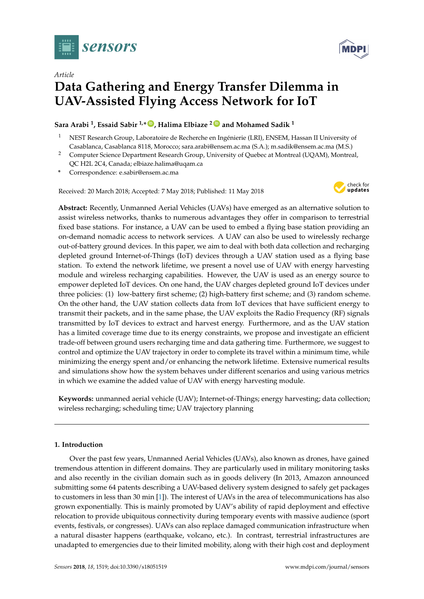

*Article*

# **Data Gathering and Energy Transfer Dilemma in UAV-Assisted Flying Access Network for IoT**

## **Sara Arabi <sup>1</sup> , Essaid Sabir 1,\* [ID](https://orcid.org/0000-0001-9946-5761) , Halima Elbiaze <sup>2</sup> [ID](https://orcid.org/0000-0001-5681-6445) and Mohamed Sadik <sup>1</sup>**

- <sup>1</sup> NEST Research Group, Laboratoire de Recherche en Ingénierie (LRI), ENSEM, Hassan II University of Casablanca, Casablanca 8118, Morocco; sara.arabi@ensem.ac.ma (S.A.); m.sadik@ensem.ac.ma (M.S.)
- <sup>2</sup> Computer Science Department Research Group, University of Quebec at Montreal (UQAM), Montreal, QC H2L 2C4, Canada; elbiaze.halima@uqam.ca
- **\*** Correspondence: e.sabir@ensem.ac.ma

Received: 20 March 2018; Accepted: 7 May 2018; Published: 11 May 2018



**Abstract:** Recently, Unmanned Aerial Vehicles (UAVs) have emerged as an alternative solution to assist wireless networks, thanks to numerous advantages they offer in comparison to terrestrial fixed base stations. For instance, a UAV can be used to embed a flying base station providing an on-demand nomadic access to network services. A UAV can also be used to wirelessly recharge out-of-battery ground devices. In this paper, we aim to deal with both data collection and recharging depleted ground Internet-of-Things (IoT) devices through a UAV station used as a flying base station. To extend the network lifetime, we present a novel use of UAV with energy harvesting module and wireless recharging capabilities. However, the UAV is used as an energy source to empower depleted IoT devices. On one hand, the UAV charges depleted ground IoT devices under three policies: (1) low-battery first scheme; (2) high-battery first scheme; and (3) random scheme. On the other hand, the UAV station collects data from IoT devices that have sufficient energy to transmit their packets, and in the same phase, the UAV exploits the Radio Frequency (RF) signals transmitted by IoT devices to extract and harvest energy. Furthermore, and as the UAV station has a limited coverage time due to its energy constraints, we propose and investigate an efficient trade-off between ground users recharging time and data gathering time. Furthermore, we suggest to control and optimize the UAV trajectory in order to complete its travel within a minimum time, while minimizing the energy spent and/or enhancing the network lifetime. Extensive numerical results and simulations show how the system behaves under different scenarios and using various metrics in which we examine the added value of UAV with energy harvesting module.

**Keywords:** unmanned aerial vehicle (UAV); Internet-of-Things; energy harvesting; data collection; wireless recharging; scheduling time; UAV trajectory planning

## **1. Introduction**

Over the past few years, Unmanned Aerial Vehicles (UAVs), also known as drones, have gained tremendous attention in different domains. They are particularly used in military monitoring tasks and also recently in the civilian domain such as in goods delivery (In 2013, Amazon announced submitting some 64 patents describing a UAV-based delivery system designed to safely get packages to customers in less than 30 min [\[1\]](#page-18-0)). The interest of UAVs in the area of telecommunications has also grown exponentially. This is mainly promoted by UAV's ability of rapid deployment and effective relocation to provide ubiquitous connectivity during temporary events with massive audience (sport events, festivals, or congresses). UAVs can also replace damaged communication infrastructure when a natural disaster happens (earthquake, volcano, etc.). In contrast, terrestrial infrastructures are unadapted to emergencies due to their limited mobility, along with their high cost and deployment

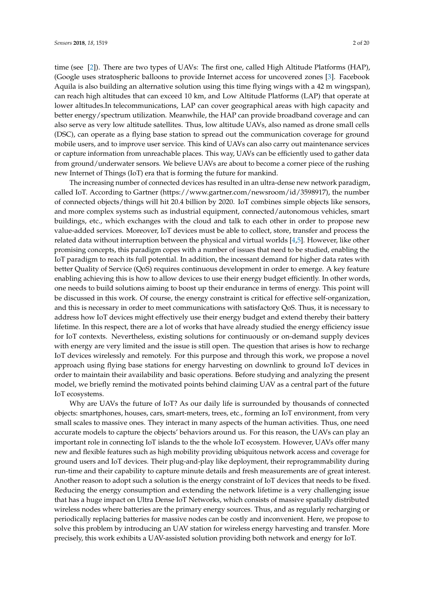time (see [\[2\]](#page-18-1)). There are two types of UAVs: The first one, called High Altitude Platforms (HAP), (Google uses stratospheric balloons to provide Internet access for uncovered zones [\[3\]](#page-18-2). Facebook Aquila is also building an alternative solution using this time flying wings with a 42 m wingspan), can reach high altitudes that can exceed 10 km, and Low Altitude Platforms (LAP) that operate at lower altitudes.In telecommunications, LAP can cover geographical areas with high capacity and better energy/spectrum utilization. Meanwhile, the HAP can provide broadband coverage and can also serve as very low altitude satellites. Thus, low altitude UAVs, also named as drone small cells (DSC), can operate as a flying base station to spread out the communication coverage for ground mobile users, and to improve user service. This kind of UAVs can also carry out maintenance services or capture information from unreachable places. This way, UAVs can be efficiently used to gather data from ground/underwater sensors. We believe UAVs are about to become a corner piece of the rushing new Internet of Things (IoT) era that is forming the future for mankind.

The increasing number of connected devices has resulted in an ultra-dense new network paradigm, called IoT. According to Gartner (https://www.gartner.com/newsroom/id/3598917), the number of connected objects/things will hit 20.4 billion by 2020. IoT combines simple objects like sensors, and more complex systems such as industrial equipment, connected/autonomous vehicles, smart buildings, etc., which exchanges with the cloud and talk to each other in order to propose new value-added services. Moreover, IoT devices must be able to collect, store, transfer and process the related data without interruption between the physical and virtual worlds [\[4](#page-18-3)[,5\]](#page-18-4). However, like other promising concepts, this paradigm copes with a number of issues that need to be studied, enabling the IoT paradigm to reach its full potential. In addition, the incessant demand for higher data rates with better Quality of Service (QoS) requires continuous development in order to emerge. A key feature enabling achieving this is how to allow devices to use their energy budget efficiently. In other words, one needs to build solutions aiming to boost up their endurance in terms of energy. This point will be discussed in this work. Of course, the energy constraint is critical for effective self-organization, and this is necessary in order to meet communications with satisfactory QoS. Thus, it is necessary to address how IoT devices might effectively use their energy budget and extend thereby their battery lifetime. In this respect, there are a lot of works that have already studied the energy efficiency issue for IoT contexts. Nevertheless, existing solutions for continuously or on-demand supply devices with energy are very limited and the issue is still open. The question that arises is how to recharge IoT devices wirelessly and remotely. For this purpose and through this work, we propose a novel approach using flying base stations for energy harvesting on downlink to ground IoT devices in order to maintain their availability and basic operations. Before studying and analyzing the present model, we briefly remind the motivated points behind claiming UAV as a central part of the future IoT ecosystems.

Why are UAVs the future of IoT? As our daily life is surrounded by thousands of connected objects: smartphones, houses, cars, smart-meters, trees, etc., forming an IoT environment, from very small scales to massive ones. They interact in many aspects of the human activities. Thus, one need accurate models to capture the objects' behaviors around us. For this reason, the UAVs can play an important role in connecting IoT islands to the the whole IoT ecosystem. However, UAVs offer many new and flexible features such as high mobility providing ubiquitous network access and coverage for ground users and IoT devices. Their plug-and-play like deployment, their reprogrammability during run-time and their capability to capture minute details and fresh measurements are of great interest. Another reason to adopt such a solution is the energy constraint of IoT devices that needs to be fixed. Reducing the energy consumption and extending the network lifetime is a very challenging issue that has a huge impact on Ultra Dense IoT Networks, which consists of massive spatially distributed wireless nodes where batteries are the primary energy sources. Thus, and as regularly recharging or periodically replacing batteries for massive nodes can be costly and inconvenient. Here, we propose to solve this problem by introducing an UAV station for wireless energy harvesting and transfer. More precisely, this work exhibits a UAV-assisted solution providing both network and energy for IoT.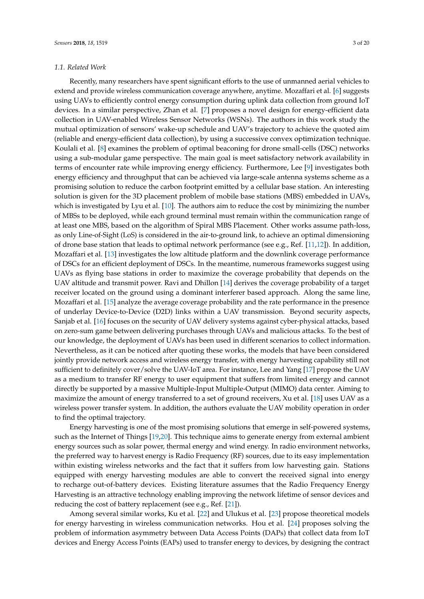#### *1.1. Related Work*

Recently, many researchers have spent significant efforts to the use of unmanned aerial vehicles to extend and provide wireless communication coverage anywhere, anytime. Mozaffari et al. [\[6\]](#page-18-5) suggests using UAVs to efficiently control energy consumption during uplink data collection from ground IoT devices. In a similar perspective, Zhan et al. [\[7\]](#page-18-6) proposes a novel design for energy-efficient data collection in UAV-enabled Wireless Sensor Networks (WSNs). The authors in this work study the mutual optimization of sensors' wake-up schedule and UAV's trajectory to achieve the quoted aim (reliable and energy-efficient data collection), by using a successive convex optimization technique. Koulali et al. [\[8\]](#page-18-7) examines the problem of optimal beaconing for drone small-cells (DSC) networks using a sub-modular game perspective. The main goal is meet satisfactory network availability in terms of encounter rate while improving energy efficiency. Furthermore, Lee [\[9\]](#page-18-8) investigates both energy efficiency and throughput that can be achieved via large-scale antenna systems scheme as a promising solution to reduce the carbon footprint emitted by a cellular base station. An interesting solution is given for the 3D placement problem of mobile base stations (MBS) embedded in UAVs, which is investigated by Lyu et al. [\[10\]](#page-18-9). The authors aim to reduce the cost by minimizing the number of MBSs to be deployed, while each ground terminal must remain within the communication range of at least one MBS, based on the algorithm of Spiral MBS Placement. Other works assume path-loss, as only Line-of-Sight (LoS) is considered in the air-to-ground link, to achieve an optimal dimensioning of drone base station that leads to optimal network performance (see e.g., Ref. [\[11](#page-18-10)[,12\]](#page-18-11)). In addition, Mozaffari et al. [\[13\]](#page-18-12) investigates the low altitude platform and the downlink coverage performance of DSCs for an efficient deployment of DSCs. In the meantime, numerous frameworks suggest using UAVs as flying base stations in order to maximize the coverage probability that depends on the UAV altitude and transmit power. Ravi and Dhillon [\[14\]](#page-18-13) derives the coverage probability of a target receiver located on the ground using a dominant interferer based approach. Along the same line, Mozaffari et al. [\[15\]](#page-18-14) analyze the average coverage probability and the rate performance in the presence of underlay Device-to-Device (D2D) links within a UAV transmission. Beyond security aspects, Sanjab et al. [\[16\]](#page-18-15) focuses on the security of UAV delivery systems against cyber-physical attacks, based on zero-sum game between delivering purchases through UAVs and malicious attacks. To the best of our knowledge, the deployment of UAVs has been used in different scenarios to collect information. Nevertheless, as it can be noticed after quoting these works, the models that have been considered jointly provide network access and wireless energy transfer, with energy harvesting capability still not sufficient to definitely cover/solve the UAV-IoT area. For instance, Lee and Yang [\[17\]](#page-18-16) propose the UAV as a medium to transfer RF energy to user equipment that suffers from limited energy and cannot directly be supported by a massive Multiple-Input Multiple-Output (MIMO) data center. Aiming to maximize the amount of energy transferred to a set of ground receivers, Xu et al. [\[18\]](#page-18-17) uses UAV as a wireless power transfer system. In addition, the authors evaluate the UAV mobility operation in order to find the optimal trajectory.

Energy harvesting is one of the most promising solutions that emerge in self-powered systems, such as the Internet of Things [\[19,](#page-18-18)[20\]](#page-18-19). This technique aims to generate energy from external ambient energy sources such as solar power, thermal energy and wind energy. In radio environment networks, the preferred way to harvest energy is Radio Frequency (RF) sources, due to its easy implementation within existing wireless networks and the fact that it suffers from low harvesting gain. Stations equipped with energy harvesting modules are able to convert the received signal into energy to recharge out-of-battery devices. Existing literature assumes that the Radio Frequency Energy Harvesting is an attractive technology enabling improving the network lifetime of sensor devices and reducing the cost of battery replacement (see e.g., Ref. [\[21\]](#page-18-20)).

Among several similar works, Ku et al. [\[22\]](#page-19-0) and Ulukus et al. [\[23\]](#page-19-1) propose theoretical models for energy harvesting in wireless communication networks. Hou et al. [\[24\]](#page-19-2) proposes solving the problem of information asymmetry between Data Access Points (DAPs) that collect data from IoT devices and Energy Access Points (EAPs) used to transfer energy to devices, by designing the contract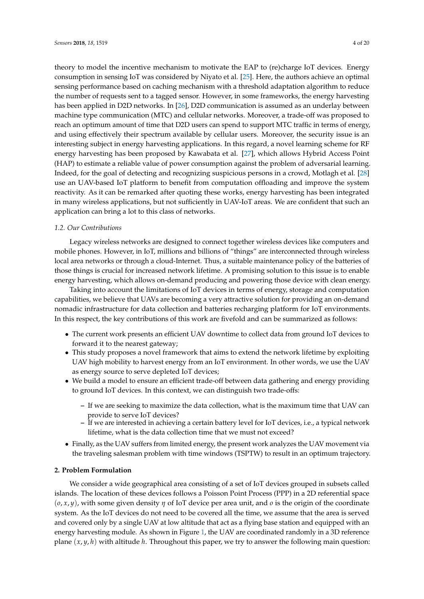theory to model the incentive mechanism to motivate the EAP to (re)charge IoT devices. Energy consumption in sensing IoT was considered by Niyato et al. [\[25\]](#page-19-3). Here, the authors achieve an optimal sensing performance based on caching mechanism with a threshold adaptation algorithm to reduce the number of requests sent to a tagged sensor. However, in some frameworks, the energy harvesting has been applied in D2D networks. In [\[26\]](#page-19-4), D2D communication is assumed as an underlay between machine type communication (MTC) and cellular networks. Moreover, a trade-off was proposed to reach an optimum amount of time that D2D users can spend to support MTC traffic in terms of energy, and using effectively their spectrum available by cellular users. Moreover, the security issue is an interesting subject in energy harvesting applications. In this regard, a novel learning scheme for RF energy harvesting has been proposed by Kawabata et al. [\[27\]](#page-19-5), which allows Hybrid Access Point (HAP) to estimate a reliable value of power consumption against the problem of adversarial learning. Indeed, for the goal of detecting and recognizing suspicious persons in a crowd, Motlagh et al. [\[28\]](#page-19-6) use an UAV-based IoT platform to benefit from computation offloading and improve the system reactivity. As it can be remarked after quoting these works, energy harvesting has been integrated in many wireless applications, but not sufficiently in UAV-IoT areas. We are confident that such an application can bring a lot to this class of networks.

#### *1.2. Our Contributions*

Legacy wireless networks are designed to connect together wireless devices like computers and mobile phones. However, in IoT, millions and billions of "things" are interconnected through wireless local area networks or through a cloud-Internet. Thus, a suitable maintenance policy of the batteries of those things is crucial for increased network lifetime. A promising solution to this issue is to enable energy harvesting, which allows on-demand producing and powering those device with clean energy.

Taking into account the limitations of IoT devices in terms of energy, storage and computation capabilities, we believe that UAVs are becoming a very attractive solution for providing an on-demand nomadic infrastructure for data collection and batteries recharging platform for IoT environments. In this respect, the key contributions of this work are fivefold and can be summarized as follows:

- The current work presents an efficient UAV downtime to collect data from ground IoT devices to forward it to the nearest gateway;
- This study proposes a novel framework that aims to extend the network lifetime by exploiting UAV high mobility to harvest energy from an IoT environment. In other words, we use the UAV as energy source to serve depleted IoT devices;
- We build a model to ensure an efficient trade-off between data gathering and energy providing to ground IoT devices. In this context, we can distinguish two trade-offs:
	- **–** If we are seeking to maximize the data collection, what is the maximum time that UAV can provide to serve IoT devices?
	- **–** If we are interested in achieving a certain battery level for IoT devices, i.e., a typical network lifetime, what is the data collection time that we must not exceed?
- Finally, as the UAV suffers from limited energy, the present work analyzes the UAV movement via the traveling salesman problem with time windows (TSPTW) to result in an optimum trajectory.

#### **2. Problem Formulation**

We consider a wide geographical area consisting of a set of IoT devices grouped in subsets called islands. The location of these devices follows a Poisson Point Process (PPP) in a 2D referential space (*o*, *x*, *y*), with some given density *η* of IoT device per area unit, and *o* is the origin of the coordinate system. As the IoT devices do not need to be covered all the time, we assume that the area is served and covered only by a single UAV at low altitude that act as a flying base station and equipped with an energy harvesting module. As shown in Figure [1,](#page-4-0) the UAV are coordinated randomly in a 3D reference plane (*x*, *y*, *h*) with altitude *h*. Throughout this paper, we try to answer the following main question: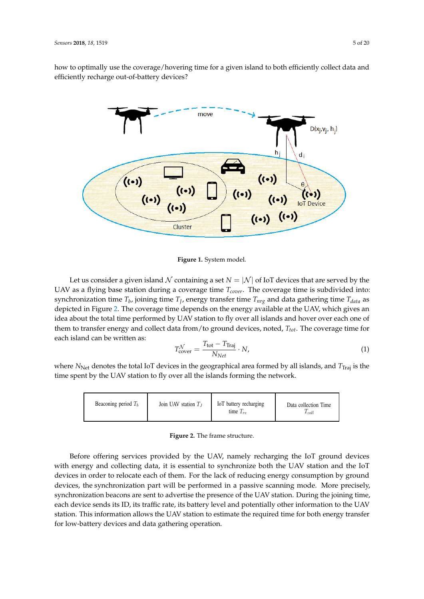how to optimally use the coverage/hovering time for a given island to both efficiently collect data and efficiently recharge out-of-battery devices?

<span id="page-4-0"></span>

**Figure 1.** System model.

Let us consider a given island N containing a set  $N = |N|$  of IoT devices that are served by the UAV as a flying base station during a coverage time *Tcover*. The coverage time is subdivided into: synchronization time *T<sup>b</sup>* , joining time *T<sup>J</sup>* , energy transfer time *Tnrg* and data gathering time *Tdata* as depicted in Figure [2.](#page-4-1) The coverage time depends on the energy available at the UAV, which gives an idea about the total time performed by UAV station to fly over all islands and hover over each one of<br>The concern time for a group on the limit data from the concern detector and take The concerned time form them to transfer energy and collect data from/to ground devices, noted, *Ttot*. The coverage time for each island can be written as:

$$
T_{\text{cover}}^{\mathcal{N}} = \frac{T_{\text{tot}} - T_{\text{Traj}}}{N_{Net}} \cdot N,\tag{1}
$$

where *N*<sub>Net</sub> denotes the total IoT devices in the geographical area formed by all islands, and *T*<sub>Traj</sub> is the where *i* w<sub>ith denotes the total for devices in the geographical area formed by an<br>time spent by the UAV station to fly over all the islands forming the network.</sub> Indeed, taking into account the limitations of IoT devices in terms of the terms of energy and computation capabilities, we are the storage and computation capabilities,<br>The storage and computation capabilities, we are the storage and computation capabilities, we are the storage a

<span id="page-4-1"></span>

| Beaconing period $T_b$ | Join UAV station $T_I$ | IoT battery recharging<br>time $T_{re}$ | Data collection Time<br>$1$ coll |
|------------------------|------------------------|-----------------------------------------|----------------------------------|
|------------------------|------------------------|-----------------------------------------|----------------------------------|

Figure 2. The frame structure.

collect data from ground in the form ground IoT devices to forward it to forward it to forward it to forward i<br>The forward in the forward in the forward in the forward in the form of the form of the forward in the forward • This study proposes a novel framework that aims to  $\begin{aligned} \text{e}^{y \cdot \lambda} \text{e}^{y \cdot \lambda} \end{aligned}$ to harvest energy from an energy from an energy from an energy  $\mathcal{L}$  $\frac{1}{2}$  becomes to see use to see use to see use to see use  $\frac{1}{2}$ Before offering services provided by the UAV, namely recharging the IoT ground devices appear and collecting data, it is essential to graphenize both the UAV station and the IoT devices in order to relocate each of them. For the lack of reducing energy consumption by ground devices, the synchronization part will be performed in a passive scanning mode. More precisely, synchronization beacons are sent to advertise the presence of the UAV station. During the joining time,<br>seek device sends its ID its traffic rate, its hattery level and notentially other information to the UAV. energy transfer to the Sender to the UAV station of receiver the required time for both energy transfers station. This information allows the UAV station to estimate the required time for both energy transfer for low-battery devices and data gathering operation. with energy and collecting data, it is essential to synchronize both the UAV station and the IoT each device sends its ID, its traffic rate, its battery level and potentially other information to the UAV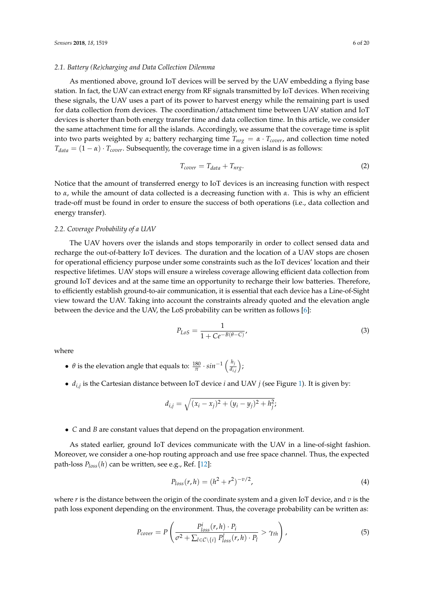#### *2.1. Battery (Re)charging and Data Collection Dilemma*

As mentioned above, ground IoT devices will be served by the UAV embedding a flying base station. In fact, the UAV can extract energy from RF signals transmitted by IoT devices. When receiving these signals, the UAV uses a part of its power to harvest energy while the remaining part is used for data collection from devices. The coordination/attachment time between UAV station and IoT devices is shorter than both energy transfer time and data collection time. In this article, we consider the same attachment time for all the islands. Accordingly, we assume that the coverage time is split into two parts weighted by  $\alpha$ ; battery recharging time  $T_{nrg} = \alpha \cdot T_{cover}$ , and collection time noted  $T_{data} = (1 - \alpha) \cdot T_{cover}$ . Subsequently, the coverage time in a given island is as follows:

$$
T_{cover} = T_{data} + T_{nrg}.\tag{2}
$$

Notice that the amount of transferred energy to IoT devices is an increasing function with respect to *α*, while the amount of data collected is a decreasing function with *α*. This is why an efficient trade-off must be found in order to ensure the success of both operations (i.e., data collection and energy transfer).

#### *2.2. Coverage Probability of a UAV*

The UAV hovers over the islands and stops temporarily in order to collect sensed data and recharge the out-of-battery IoT devices. The duration and the location of a UAV stops are chosen for operational efficiency purpose under some constraints such as the IoT devices' location and their respective lifetimes. UAV stops will ensure a wireless coverage allowing efficient data collection from ground IoT devices and at the same time an opportunity to recharge their low batteries. Therefore, to efficiently establish ground-to-air communication, it is essential that each device has a Line-of-Sight view toward the UAV. Taking into account the constraints already quoted and the elevation angle between the device and the UAV, the LoS probability can be written as follows [\[6\]](#page-18-5):

$$
P_{LoS} = \frac{1}{1 + Ce^{-B(\theta - C)}},
$$
\n(3)

where

- $\theta$  is the elevation angle that equals to:  $\frac{180}{\pi} \cdot \sin^{-1} \left( \frac{h_j}{d_i} \right)$ *di*,*<sup>j</sup>*  $\big),$
- *di*,*<sup>j</sup>* is the Cartesian distance between IoT device *i* and UAV *j* (see Figure [1\)](#page-4-0). It is given by:

$$
d_{i,j} = \sqrt{(x_i - x_j)^2 + (y_i - y_j)^2 + h_j^2};
$$

• *C* and *B* are constant values that depend on the propagation environment.

As stated earlier, ground IoT devices communicate with the UAV in a line-of-sight fashion. Moreover, we consider a one-hop routing approach and use free space channel. Thus, the expected path-loss *Ploss*(*h*) can be written, see e.g., Ref. [\[12\]](#page-18-11):

$$
P_{loss}(r, h) = (h^2 + r^2)^{-\nu/2},
$$
\n(4)

where *r* is the distance between the origin of the coordinate system and a given IoT device, and *v* is the path loss exponent depending on the environment. Thus, the coverage probability can be written as:

$$
P_{cover} = P\left(\frac{P_{loss}^i(r, h) \cdot P_i}{\sigma^2 + \sum_{l \in \mathcal{C} \setminus \{i\}} P_{loss}^l(r, h) \cdot P_l} > \gamma_{th}\right),\tag{5}
$$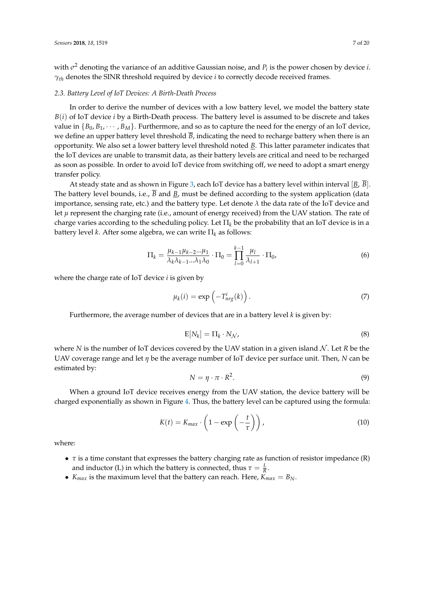with  $\sigma^2$  denoting the variance of an additive Gaussian noise, and  $P_i$  is the power chosen by device *i*. *γth* denotes the SINR threshold required by device *i* to correctly decode received frames.

#### *2.3. Battery Level of IoT Devices: A Birth-Death Process*

In order to derive the number of devices with a low battery level, we model the battery state *B*(*i*) of IoT device *i* by a Birth-Death process. The battery level is assumed to be discrete and takes value in  ${B_0, B_1, \dots, B_M}$ . Furthermore, and so as to capture the need for the energy of an IoT device, we define an upper battery level threshold  $\overline{B}$ , indicating the need to recharge battery when there is an opportunity. We also set a lower battery level threshold noted *B*. This latter parameter indicates that the IoT devices are unable to transmit data, as their battery levels are critical and need to be recharged as soon as possible. In order to avoid IoT device from switching off, we need to adopt a smart energy transfer policy.

At steady state and as shown in Figure [3,](#page-7-0) each IoT device has a battery level within interval [*B*, *B*]. The battery level bounds, i.e., *B* and *B*, must be defined according to the system application (data importance, sensing rate, etc.) and the battery type. Let denote *λ* the data rate of the IoT device and let *µ* represent the charging rate (i.e., amount of energy received) from the UAV station. The rate of charge varies according to the scheduling policy. Let  $\Pi_k$  be the probability that an IoT device is in a battery level *k*. After some algebra, we can write Π*<sup>k</sup>* as follows:

$$
\Pi_k = \frac{\mu_{k-1}\mu_{k-2}...\mu_1}{\lambda_k\lambda_{k-1}...\lambda_1\lambda_0} \cdot \Pi_0 = \prod_{l=0}^{k-1} \frac{\mu_l}{\lambda_{l+1}} \cdot \Pi_0,
$$
\n(6)

where the charge rate of IoT device *i* is given by

$$
\mu_k(i) = \exp\left(-T_{nrg}^i(k)\right). \tag{7}
$$

Furthermore, the average number of devices that are in a battery level *k* is given by:

$$
E[N_k] = \Pi_k \cdot N_{\mathcal{N}},\tag{8}
$$

where *N* is the number of IoT devices covered by the UAV station in a given island  $N$ . Let *R* be the UAV coverage range and let *η* be the average number of IoT device per surface unit. Then, *N* can be estimated by:

$$
N = \eta \cdot \pi \cdot R^2. \tag{9}
$$

When a ground IoT device receives energy from the UAV station, the device battery will be charged exponentially as shown in Figure [4.](#page-7-1) Thus, the battery level can be captured using the formula:

$$
K(t) = K_{max} \cdot \left(1 - \exp\left(-\frac{t}{\tau}\right)\right),\tag{10}
$$

where:

- *τ* is a time constant that expresses the battery charging rate as function of resistor impedance (R) and inductor (L) in which the battery is connected, thus  $\tau = \frac{L}{R}$ .
- *K*<sub>*max*</sub> is the maximum level that the battery can reach. Here,  $K_{max} = B_N$ .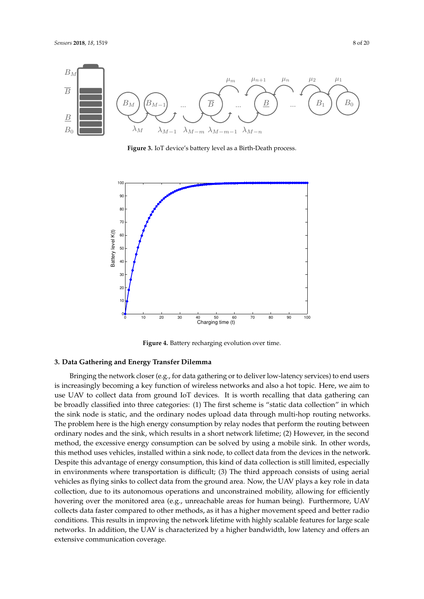<span id="page-7-0"></span>

**Figure 3.** IoT device's battery level as a Birth-Death process.

<span id="page-7-1"></span>

**Figure 4.** Battery recharging evolution over time.

### **3. Data Gathering and Energy Transfer Dilemma**

Bringing the network closer (e.g., for data gathering or to deliver low-latency services) to end users is increasingly becoming a key function of wireless networks and also a hot topic. Here, we aim to use UAV to collect data from ground IoT devices. It is worth recalling that data gathering can be broadly classified into three categories: (1) The first scheme is "static data collection" in which the sink node is static, and the ordinary nodes upload data through multi-hop routing networks. The problem here is the high energy consumption by relay nodes that perform the routing between ordinary nodes and the sink, which results in a short network lifetime; (2) However, in the second method, the excessive energy consumption can be solved by using a mobile sink. In other words, this method uses vehicles, installed within a sink node, to collect data from the devices in the network. Despite this advantage of energy consumption, this kind of data collection is still limited, especially in environments where transportation is difficult; (3) The third approach consists of using aerial vehicles as flying sinks to collect data from the ground area. Now, the UAV plays a key role in data collection, due to its autonomous operations and unconstrained mobility, allowing for efficiently hovering over the monitored area (e.g., unreachable areas for human being). Furthermore, UAV collects data faster compared to other methods, as it has a higher movement speed and better radio conditions. This results in improving the network lifetime with highly scalable features for large scale networks. In addition, the UAV is characterized by a higher bandwidth, low latency and offers an extensive communication coverage.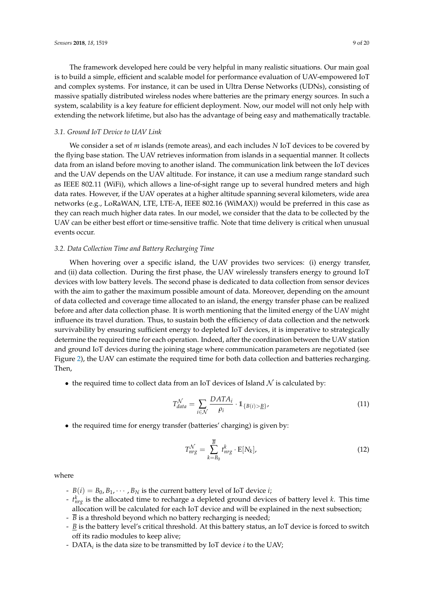The framework developed here could be very helpful in many realistic situations. Our main goal is to build a simple, efficient and scalable model for performance evaluation of UAV-empowered IoT and complex systems. For instance, it can be used in Ultra Dense Networks (UDNs), consisting of massive spatially distributed wireless nodes where batteries are the primary energy sources. In such a system, scalability is a key feature for efficient deployment. Now, our model will not only help with extending the network lifetime, but also has the advantage of being easy and mathematically tractable.

#### *3.1. Ground IoT Device to UAV Link*

We consider a set of *m* islands (remote areas), and each includes *N* IoT devices to be covered by the flying base station. The UAV retrieves information from islands in a sequential manner. It collects data from an island before moving to another island. The communication link between the IoT devices and the UAV depends on the UAV altitude. For instance, it can use a medium range standard such as IEEE 802.11 (WiFi), which allows a line-of-sight range up to several hundred meters and high data rates. However, if the UAV operates at a higher altitude spanning several kilometers, wide area networks (e.g., LoRaWAN, LTE, LTE-A, IEEE 802.16 (WiMAX)) would be preferred in this case as they can reach much higher data rates. In our model, we consider that the data to be collected by the UAV can be either best effort or time-sensitive traffic. Note that time delivery is critical when unusual events occur.

#### *3.2. Data Collection Time and Battery Recharging Time*

When hovering over a specific island, the UAV provides two services: (i) energy transfer, and (ii) data collection. During the first phase, the UAV wirelessly transfers energy to ground IoT devices with low battery levels. The second phase is dedicated to data collection from sensor devices with the aim to gather the maximum possible amount of data. Moreover, depending on the amount of data collected and coverage time allocated to an island, the energy transfer phase can be realized before and after data collection phase. It is worth mentioning that the limited energy of the UAV might influence its travel duration. Thus, to sustain both the efficiency of data collection and the network survivability by ensuring sufficient energy to depleted IoT devices, it is imperative to strategically determine the required time for each operation. Indeed, after the coordination between the UAV station and ground IoT devices during the joining stage where communication parameters are negotiated (see Figure [2\)](#page-4-1), the UAV can estimate the required time for both data collection and batteries recharging. Then,

• the required time to collect data from an IoT devices of Island  $\mathcal N$  is calculated by:

$$
T_{data}^{\mathcal{N}} = \sum_{i \in \mathcal{N}} \frac{DATA_i}{\rho_i} \cdot 1_{\{B(i) > \underline{B}\}},\tag{11}
$$

• the required time for energy transfer (batteries' charging) is given by:

$$
T_{nrg}^{\mathcal{N}} = \sum_{k=B_0}^{\overline{B}} t_{nrg}^k \cdot \mathbf{E}[N_k],
$$
\n(12)

where

- *B*(*i*) = *B*<sub>0</sub>, *B*<sub>1</sub>,  $\cdots$  , *B*<sub>N</sub> is the current battery level of IoT device *i*;
- *t k nrg* is the allocated time to recharge a depleted ground devices of battery level *k*. This time allocation will be calculated for each IoT device and will be explained in the next subsection;
- $\overline{B}$  is a threshold beyond which no battery recharging is needed;
- *B* is the battery level's critical threshold. At this battery status, an IoT device is forced to switch off its radio modules to keep alive;
- DATA*<sup>i</sup>* is the data size to be transmitted by IoT device *i* to the UAV;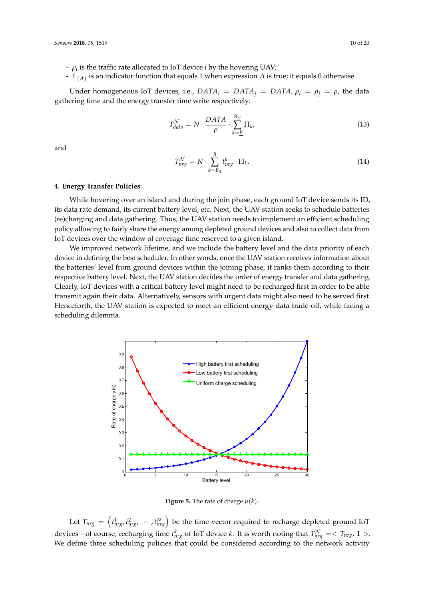- *ρ<sup>i</sup>* is the traffic rate allocated to IoT device *i* by the hovering UAV;
- <sup>1</sup>{*A*} is an indicator function that equals 1 when expression *A* is true; it equals 0 otherwise.

Under homogeneous IoT devices, i.e.,  $DATA_i = DATA_i = DATA$ ,  $\rho_i = \rho_i$ , the data gathering time and the energy transfer time write respectively:

$$
T_{data}^{\mathcal{N}} = N \cdot \frac{DATA}{\rho} \cdot \sum_{k=B}^{B_N} \Pi_k,\tag{13}
$$

and

$$
T_{nrg}^{\mathcal{N}} = N \cdot \sum_{k=B_0}^{\overline{B}} t_{nrg}^k \cdot \Pi_k. \tag{14}
$$

#### **4. Energy Transfer Policies**

While hovering over an island and during the join phase, each ground IoT device sends its ID, its data rate demand, its current battery level, etc. Next, the UAV station seeks to schedule batteries (re)charging and data gathering. Thus, the UAV station needs to implement an efficient scheduling policy allowing to fairly share the energy among depleted ground devices and also to collect data from IoT devices over the window of coverage time reserved to a given island.

We improved network lifetime, and we include the battery level and the data priority of each device in defining the best scheduler. In other words, once the UAV station receives information about the batteries' level from ground devices within the joining phase, it ranks them according to their respective battery level. Next, the UAV station decides the order of energy transfer and data gathering. Clearly, IoT devices with a critical battery level might need to be recharged first in order to be able transmit again their data. Alternatively, sensors with urgent data might also need to be served first. Henceforth, the UAV station is expected to meet an efficient energy-data trade-off, while facing a scheduling dilemma.

<span id="page-9-0"></span>

**Figure 5.** The rate of charge  $\mu(k)$ .

Let  $T_{nrg} = \left(t_{nrg}^1, t_{nrg}^2, \cdots, t_{nrg}^N\right)$  be the time vector required to recharge depleted ground IoT devices—of course, recharging time  $t_{nrg}^k$  of IoT device *k*. It is worth noting that  $T_{nrg}^{\mathcal{N}} = \langle T_{nrg}, 1 \rangle$ . We define three scheduling policies that could be considered according to the network activity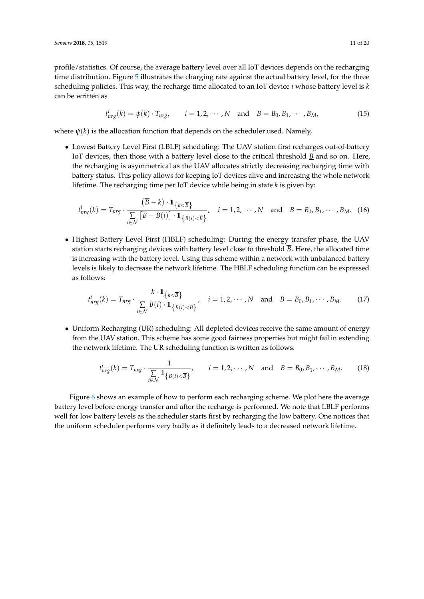$$
t_{nrg}^i(k) = \psi(k) \cdot T_{nrg}, \qquad i = 1, 2, \cdots, N \quad \text{and} \quad B = B_0, B_1, \cdots, B_M,
$$
 (15)

where  $\psi(k)$  is the allocation function that depends on the scheduler used. Namely,

• Lowest Battery Level First (LBLF) scheduling: The UAV station first recharges out-of-battery IoT devices, then those with a battery level close to the critical threshold *B* and so on. Here, the recharging is asymmetrical as the UAV allocates strictly decreasing recharging time with battery status. This policy allows for keeping IoT devices alive and increasing the whole network lifetime. The recharging time per IoT device while being in state *k* is given by:

$$
t_{nrg}^i(k) = T_{nrg} \cdot \frac{(\overline{B} - k) \cdot 1_{\{k < \overline{B}\}}}{\sum_{i \in \mathcal{N}} [\overline{B} - B(i)] \cdot 1_{\{B(i) < \overline{B}\}}} , \quad i = 1, 2, \cdots, N \text{ and } B = B_0, B_1, \cdots, B_M.
$$
 (16)

• Highest Battery Level First (HBLF) scheduling: During the energy transfer phase, the UAV station starts recharging devices with battery level close to threshold  $\overline{B}$ . Here, the allocated time is increasing with the battery level. Using this scheme within a network with unbalanced battery levels is likely to decrease the network lifetime. The HBLF scheduling function can be expressed as follows:

$$
t_{nrg}^i(k) = T_{nrg} \cdot \frac{k \cdot \mathbb{1}_{\{k < \overline{B}\}}}{\sum_{i \in \mathcal{N}} B(i) \cdot \mathbb{1}_{\{B(i) < \overline{B}\}}} , \quad i = 1, 2, \cdots, N \quad \text{and} \quad B = B_0, B_1, \cdots, B_M. \tag{17}
$$

• Uniform Recharging (UR) scheduling: All depleted devices receive the same amount of energy from the UAV station. This scheme has some good fairness properties but might fail in extending the network lifetime. The UR scheduling function is written as follows:

$$
t_{nrg}^i(k) = T_{nrg} \cdot \frac{1}{\sum_{i \in \mathcal{N}} \mathbb{1}_{\{B(i) < \overline{B}\}}} \qquad i = 1, 2, \cdots, N \quad \text{and} \quad B = B_0, B_1, \cdots, B_M. \tag{18}
$$

Figure [6](#page-11-0) shows an example of how to perform each recharging scheme. We plot here the average battery level before energy transfer and after the recharge is performed. We note that LBLF performs well for low battery levels as the scheduler starts first by recharging the low battery. One notices that the uniform scheduler performs very badly as it definitely leads to a decreased network lifetime.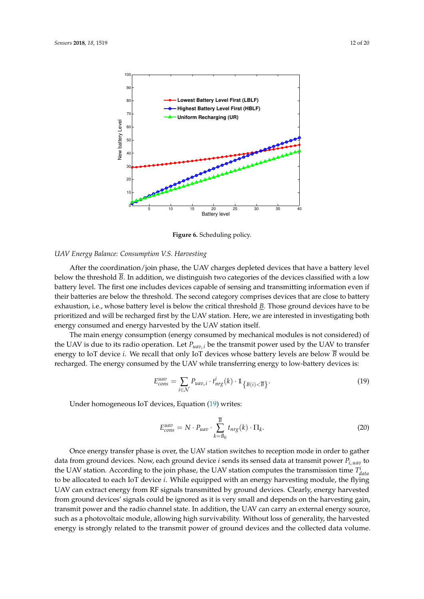<span id="page-11-0"></span>

**Figure 6.** Scheduling policy.

#### *UAV Energy Balance: Consumption V.S. Harvesting*

After the coordination/join phase, the UAV charges depleted devices that have a battery level below the threshold  $\overline{B}$ . In addition, we distinguish two categories of the devices classified with a low battery level. The first one includes devices capable of sensing and transmitting information even if their batteries are below the threshold. The second category comprises devices that are close to battery exhaustion, i.e., whose battery level is below the critical threshold *B*. Those ground devices have to be prioritized and will be recharged first by the UAV station. Here, we are interested in investigating both energy consumed and energy harvested by the UAV station itself.

The main energy consumption (energy consumed by mechanical modules is not considered) of the UAV is due to its radio operation. Let  $P_{uav,i}$  be the transmit power used by the UAV to transfer energy to IoT device *i*. We recall that only IoT devices whose battery levels are below  $\overline{B}$  would be recharged. The energy consumed by the UAV while transferring energy to low-battery devices is:

<span id="page-11-1"></span>
$$
E_{cons}^{uav} = \sum_{i \in \mathcal{N}} P_{uav,i} \cdot t_{nrg}^i(k) \cdot \mathbb{1}_{\{B(i) < \overline{B}\}}.
$$
\n<sup>(19)</sup>

Under homogeneous IoT devices, Equation [\(19\)](#page-11-1) writes:

$$
E_{cons}^{uav} = N \cdot P_{uav} \cdot \sum_{k=B_0}^{\overline{B}} t_{nrg}(k) \cdot \Pi_k.
$$
 (20)

Once energy transfer phase is over, the UAV station switches to reception mode in order to gather data from ground devices. Now, each ground device *i* sends its sensed data at transmit power *Pi*, *uav* to the UAV station. According to the join phase, the UAV station computes the transmission time  $T_{data}^i$ to be allocated to each IoT device *i*. While equipped with an energy harvesting module, the flying UAV can extract energy from RF signals transmitted by ground devices. Clearly, energy harvested from ground devices' signals could be ignored as it is very small and depends on the harvesting gain, transmit power and the radio channel state. In addition, the UAV can carry an external energy source, such as a photovoltaic module, allowing high survivability. Without loss of generality, the harvested energy is strongly related to the transmit power of ground devices and the collected data volume.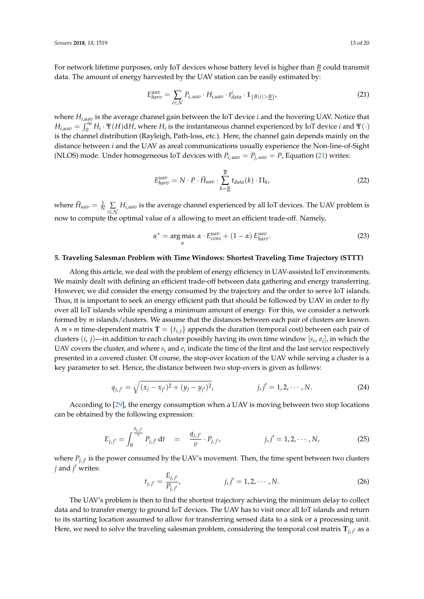For network lifetime purposes, only IoT devices whose battery level is higher than *B* could transmit data. The amount of energy harvested by the UAV station can be easily estimated by:

<span id="page-12-0"></span>
$$
E_{harv}^{uav} = \sum_{i \in \mathcal{N}} P_{i, uav} \cdot H_{i, uav} \cdot t_{data}^{i} \cdot \mathbb{1}_{\{B(i) > \underline{B}\}} \tag{21}
$$

where *Hi*,*uav* is the average channel gain between the IoT device *i* and the hovering UAV. Notice that  $H_{i, uav} = \int_0^\infty H_i \cdot \Psi(H) dH$ , where  $H_i$  is the instantaneous channel experienced by IoT device *i* and  $\Psi(\cdot)$ is the channel distribution (Rayleigh, Path-loss, etc.). Here, the channel gain depends mainly on the distance between *i* and the UAV as areal communications usually experience the Non-line-of-Sight (NLOS) mode. Under homogeneous IoT devices with  $P_{i, uav} = P_{i, uav} = P$ , Equation [\(21\)](#page-12-0) writes:

$$
E_{harv}^{uav} = N \cdot P \cdot \tilde{H}_{uav} \cdot \sum_{k=\underline{B}}^{\overline{B}} t_{data}(k) \cdot \Pi_k,
$$
\n(22)

where  $\tilde{H}_{uav} = \frac{1}{N} \sum_{i \in \mathcal{N}}$ *Hi*,*uav* is the average channel experienced by all IoT devices. The UAV problem is now to compute the optimal value of *α* allowing to meet an efficient trade-off. Namely,

<span id="page-12-1"></span>
$$
\alpha^* = \underset{\alpha}{\arg \max} \ \alpha \cdot E_{cons}^{uav} + (1 - \alpha) \, E_{harv}^{uav}.
$$

#### **5. Traveling Salesman Problem with Time Windows: Shortest Traveling Time Trajectory (STTT)**

Along this article, we deal with the problem of energy efficiency in UAV-assisted IoT environments. We mainly dealt with defining an efficient trade-off between data gathering and energy transferring. However, we did consider the energy consumed by the trajectory and the order to serve IoT islands. Thus, it is important to seek an energy efficient path that should be followed by UAV in order to fly over all IoT islands while spending a minimum amount of energy. For this, we consider a network formed by *m* islands/clusters. We assume that the distances between each pair of clusters are known. A *m*  $*$  *m* time-dependent matrix **T** = { $t_{i,i}$ } appends the duration (temporal cost) between each pair of clusters (*i*, *j*)—in addition to each cluster possibly having its own time window [*s<sup>i</sup>* , *e<sup>i</sup>* ], in which the UAV covers the cluster, and where  $s_i$  and  $e_i$  indicate the time of the first and the last service respectively presented in a covered cluster. Of course, the stop-over location of the UAV while serving a cluster is a key parameter to set. Hence, the distance between two stop-overs is given as follows:

$$
q_{j,j'} = \sqrt{(x_j - x_{j'})^2 + (y_j - y_{j'})^2}, \qquad j, j' = 1, 2, \cdots, N. \qquad (24)
$$

According to [\[29\]](#page-19-7), the energy consumption when a UAV is moving between two stop locations can be obtained by the following expression:

$$
E_{j,j'} = \int_0^{\frac{q_{j,j'}}{v}} P_{j,j'} dt = \frac{q_{j,j'}}{v} \cdot P_{j,j'}, \qquad j,j' = 1,2,\cdots,N,
$$
 (25)

where  $P_{j,j'}$  is the power consumed by the UAV's movement. Then, the time spent between two clusters *j* and *j* 0 writes:

$$
t_{j,j'} = \frac{E_{j,j'}}{P_{j,j'}}, \qquad j, j' = 1, 2, \cdots, N. \tag{26}
$$

The UAV's problem is then to find the shortest trajectory achieving the minimum delay to collect data and to transfer energy to ground IoT devices. The UAV has to visit once all IoT islands and return to its starting location assumed to allow for transferring sensed data to a sink or a processing unit. Here, we need to solve the traveling salesman problem, considering the temporal cost matrix  $\mathbf{T}_{j,\,j'}$  as a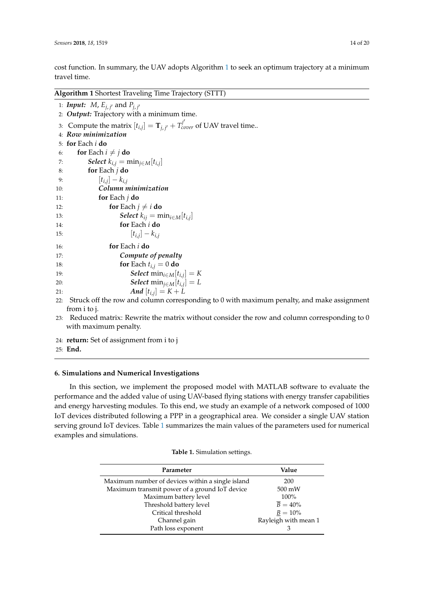cost function. In summary, the UAV adopts Algorithm [1](#page-13-0) to seek an optimum trajectory at a minimum travel time.

<span id="page-13-0"></span>**Algorithm 1** Shortest Traveling Time Trajectory (STTT)

1: **Input:**  $M$ ,  $E_{j, j'}$  and  $P_{j, j'}$ 2: *Output:* Trajectory with a minimum time. 3: Compute the matrix  $[t_{i,j}] = \mathbf{T}_{j,j'} + T_{cover}^{j'}$  of UAV travel time.. 4: *Row minimization* 5: **for** Each *i* **do** 6: **for** Each  $i \neq j$  **do**<br>7: **Select**  $k_{ij} = n$ 7: **Select**  $k_{i,j} = \min_{j \in M} [t_{i,j}]$ 8: **for** Each *j* **do** 9:  $[t_{i,j}] - k_{i,j}$ 10: *Column minimization* 11: **for** Each *j* **do** 12: **for** Each  $j \neq i$  **do**<br>13: **Select**  $k_{ij} = m$ 13: **Select**  $k_{ij} = \min_{i \in M} [t_{i,j}]$ 14: **for** Each *i* **do** 15:  $[t_{i,j}] - k_{i,j}$ 16: **for** Each *i* **do** 17: *Compute of penalty* 18: **for** Each  $t_{i,j} = 0$  **do** 19: **Select** min<sub>*i*∈*M*[ $t_{i,j}$ ] = *K*</sub> 20: **Select** min<sub>j∈*M*</sub>[ $t_{i,j}$ ] = *L* 21: *And*  $[t_{i,j}] = K + L$ 22: Struck off the row and column corresponding to 0 with maximum penalty, and make assignment from i to j.

- 23: Reduced matrix: Rewrite the matrix without consider the row and column corresponding to 0 with maximum penalty.
- 24: **return:** Set of assignment from i to j
- 25: **End.**

## **6. Simulations and Numerical Investigations**

In this section, we implement the proposed model with MATLAB software to evaluate the performance and the added value of using UAV-based flying stations with energy transfer capabilities and energy harvesting modules. To this end, we study an example of a network composed of 1000 IoT devices distributed following a PPP in a geographical area. We consider a single UAV station serving ground IoT devices. Table [1](#page-13-1) summarizes the main values of the parameters used for numerical examples and simulations.

<span id="page-13-1"></span>

| Parameter                                        | Value                 |
|--------------------------------------------------|-----------------------|
| Maximum number of devices within a single island | 200                   |
| Maximum transmit power of a ground IoT device    | 500 mW                |
| Maximum battery level                            | $100\%$               |
| Threshold battery level                          | $\overline{B} = 40\%$ |
| Critical threshold                               | $B = 10\%$            |
| Channel gain                                     | Rayleigh with mean 1  |
| Path loss exponent                               |                       |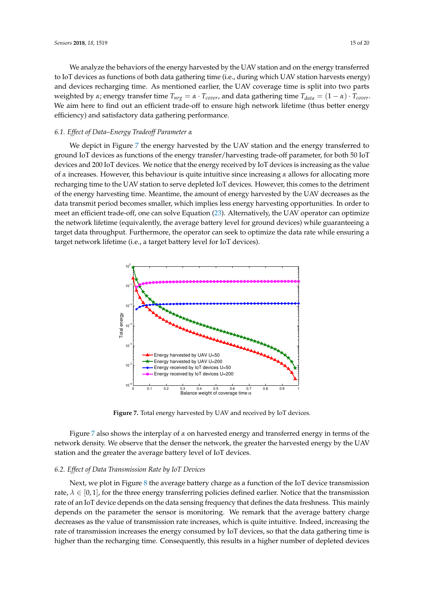We analyze the behaviors of the energy harvested by the UAV station and on the energy transferred to IoT devices as functions of both data gathering time (i.e., during which UAV station harvests energy) and devices recharging time. As mentioned earlier, the UAV coverage time is split into two parts weighted by *α*; energy transfer time  $T_{nrg} = \alpha \cdot T_{cover}$ , and data gathering time  $T_{data} = (1 - \alpha) \cdot T_{cover}$ . We aim here to find out an efficient trade-off to ensure high network lifetime (thus better energy efficiency) and satisfactory data gathering performance.

#### *6.1. Effect of Data–Energy Tradeoff Parameter α*

We depict in Figure [7](#page-14-0) the energy harvested by the UAV station and the energy transferred to ground IoT devices as functions of the energy transfer/harvesting trade-off parameter, for both 50 IoT devices and 200 IoT devices. We notice that the energy received by IoT devices is increasing as the value of *α* increases. However, this behaviour is quite intuitive since increasing *α* allows for allocating more recharging time to the UAV station to serve depleted IoT devices. However, this comes to the detriment of the energy harvesting time. Meantime, the amount of energy harvested by the UAV decreases as the data transmit period becomes smaller, which implies less energy harvesting opportunities. In order to meet an efficient trade-off, one can solve Equation [\(23\)](#page-12-1). Alternatively, the UAV operator can optimize the network lifetime (equivalently, the average battery level for ground devices) while guaranteeing a target data throughput. Furthermore, the operator can seek to optimize the data rate while ensuring a target network lifetime (i.e., a target battery level for IoT devices).

<span id="page-14-0"></span>

**Figure 7.** Total energy harvested by UAV and received by IoT devices.

Figure [7](#page-14-0) also shows the interplay of *α* on harvested energy and transferred energy in terms of the network density. We observe that the denser the network, the greater the harvested energy by the UAV station and the greater the average battery level of IoT devices.

## *6.2. Effect of Data Transmission Rate by IoT Devices*

Next, we plot in Figure [8](#page-15-0) the average battery charge as a function of the IoT device transmission rate,  $\lambda \in [0,1]$ , for the three energy transferring policies defined earlier. Notice that the transmission rate of an IoT device depends on the data sensing frequency that defines the data freshness. This mainly depends on the parameter the sensor is monitoring. We remark that the average battery charge decreases as the value of transmission rate increases, which is quite intuitive. Indeed, increasing the rate of transmission increases the energy consumed by IoT devices, so that the data gathering time is higher than the recharging time. Consequently, this results in a higher number of depleted devices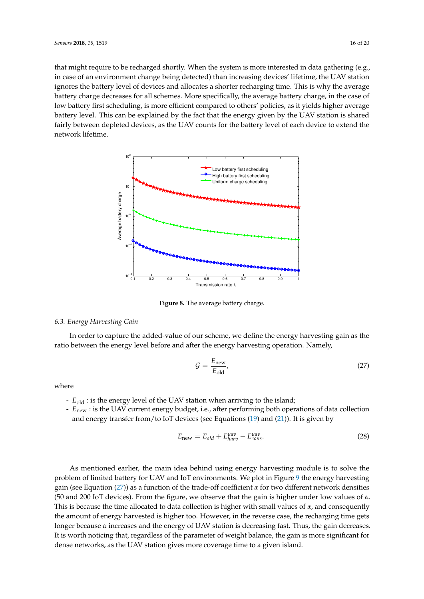that might require to be recharged shortly. When the system is more interested in data gathering (e.g., in case of an environment change being detected) than increasing devices' lifetime, the UAV station ignores the battery level of devices and allocates a shorter recharging time. This is why the average battery charge decreases for all schemes. More specifically, the average battery charge, in the case of low battery first scheduling, is more efficient compared to others' policies, as it yields higher average battery level. This can be explained by the fact that the energy given by the UAV station is shared fairly between depleted devices, as the UAV counts for the battery level of each device to extend the network lifetime.

<span id="page-15-0"></span>

**Figure 8.** The average battery charge.

## *6.3. Energy Harvesting Gain*

In order to capture the added-value of our scheme, we define the energy harvesting gain as the ratio between the energy level before and after the energy harvesting operation. Namely,

<span id="page-15-1"></span>
$$
\mathcal{G} = \frac{E_{\text{new}}}{E_{\text{old}}},\tag{27}
$$

where

- *E*old : is the energy level of the UAV station when arriving to the island;
- *E*new : is the UAV current energy budget, i.e., after performing both operations of data collection and energy transfer from/to IoT devices (see Equations [\(19\)](#page-11-1) and [\(21\)](#page-12-0)). It is given by

$$
E_{\text{new}} = E_{old} + E_{harv}^{uav} - E_{cons}^{uav}.
$$
\n(28)

As mentioned earlier, the main idea behind using energy harvesting module is to solve the problem of limited battery for UAV and IoT environments. We plot in Figure [9](#page-16-0) the energy harvesting gain (see Equation [\(27\)](#page-15-1)) as a function of the trade-off coefficient *α* for two different network densities (50 and 200 IoT devices). From the figure, we observe that the gain is higher under low values of *α*. This is because the time allocated to data collection is higher with small values of *α*, and consequently the amount of energy harvested is higher too. However, in the reverse case, the recharging time gets longer because *α* increases and the energy of UAV station is decreasing fast. Thus, the gain decreases. It is worth noticing that, regardless of the parameter of weight balance, the gain is more significant for dense networks, as the UAV station gives more coverage time to a given island.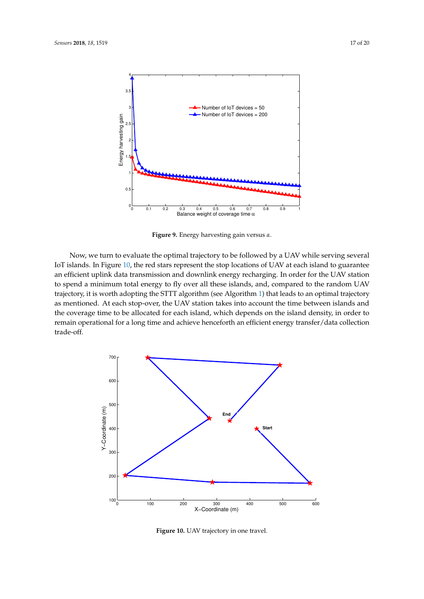<span id="page-16-0"></span>

**Figure 9.** Energy harvesting gain versus *α*.

Now, we turn to evaluate the optimal trajectory to be followed by a UAV while serving several IoT islands. In Figure [10,](#page-16-1) the red stars represent the stop locations of UAV at each island to guarantee an efficient uplink data transmission and downlink energy recharging. In order for the UAV station to spend a minimum total energy to fly over all these islands, and, compared to the random UAV trajectory, it is worth adopting the STTT algorithm (see Algorithm [1\)](#page-13-0) that leads to an optimal trajectory as mentioned. At each stop-over, the UAV station takes into account the time between islands and the coverage time to be allocated for each island, which depends on the island density, in order to remain operational for a long time and achieve henceforth an efficient energy transfer/data collection trade-off.

<span id="page-16-1"></span>

**Figure 10.** UAV trajectory in one travel.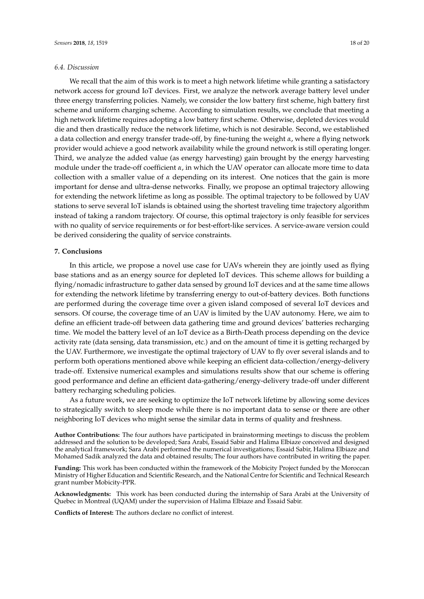#### *6.4. Discussion*

We recall that the aim of this work is to meet a high network lifetime while granting a satisfactory network access for ground IoT devices. First, we analyze the network average battery level under three energy transferring policies. Namely, we consider the low battery first scheme, high battery first scheme and uniform charging scheme. According to simulation results, we conclude that meeting a high network lifetime requires adopting a low battery first scheme. Otherwise, depleted devices would die and then drastically reduce the network lifetime, which is not desirable. Second, we established a data collection and energy transfer trade-off, by fine-tuning the weight *α*, where a flying network provider would achieve a good network availability while the ground network is still operating longer. Third, we analyze the added value (as energy harvesting) gain brought by the energy harvesting module under the trade-off coefficient *α*, in which the UAV operator can allocate more time to data collection with a smaller value of *α* depending on its interest. One notices that the gain is more important for dense and ultra-dense networks. Finally, we propose an optimal trajectory allowing for extending the network lifetime as long as possible. The optimal trajectory to be followed by UAV stations to serve several IoT islands is obtained using the shortest traveling time trajectory algorithm instead of taking a random trajectory. Of course, this optimal trajectory is only feasible for services with no quality of service requirements or for best-effort-like services. A service-aware version could be derived considering the quality of service constraints.

#### **7. Conclusions**

In this article, we propose a novel use case for UAVs wherein they are jointly used as flying base stations and as an energy source for depleted IoT devices. This scheme allows for building a flying/nomadic infrastructure to gather data sensed by ground IoT devices and at the same time allows for extending the network lifetime by transferring energy to out-of-battery devices. Both functions are performed during the coverage time over a given island composed of several IoT devices and sensors. Of course, the coverage time of an UAV is limited by the UAV autonomy. Here, we aim to define an efficient trade-off between data gathering time and ground devices' batteries recharging time. We model the battery level of an IoT device as a Birth-Death process depending on the device activity rate (data sensing, data transmission, etc.) and on the amount of time it is getting recharged by the UAV. Furthermore, we investigate the optimal trajectory of UAV to fly over several islands and to perform both operations mentioned above while keeping an efficient data-collection/energy-delivery trade-off. Extensive numerical examples and simulations results show that our scheme is offering good performance and define an efficient data-gathering/energy-delivery trade-off under different battery recharging scheduling policies.

As a future work, we are seeking to optimize the IoT network lifetime by allowing some devices to strategically switch to sleep mode while there is no important data to sense or there are other neighboring IoT devices who might sense the similar data in terms of quality and freshness.

**Author Contributions:** The four authors have participated in brainstorming meetings to discuss the problem addressed and the solution to be developed; Sara Arabi, Essaid Sabir and Halima Elbiaze conceived and designed the analytical framework; Sara Arabi performed the numerical investigations; Essaid Sabir, Halima Elbiaze and Mohamed Sadik analyzed the data and obtained results; The four authors have contributed in writing the paper.

**Funding:** This work has been conducted within the framework of the Mobicity Project funded by the Moroccan Ministry of Higher Education and Scientific Research, and the National Centre for Scientific and Technical Research grant number Mobicity-PPR.

**Acknowledgments:** This work has been conducted during the internship of Sara Arabi at the University of Quebec in Montreal (UQAM) under the supervision of Halima Elbiaze and Essaid Sabir.

**Conflicts of Interest:** The authors declare no conflict of interest.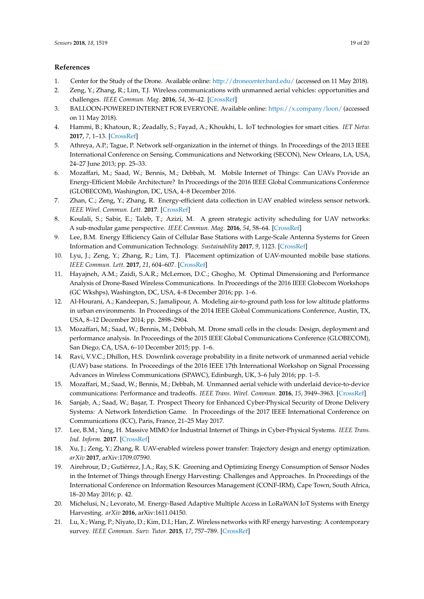#### **References**

- <span id="page-18-0"></span>1. Center for the Study of the Drone. Available online: <http://dronecenter.bard.edu/> (accessed on 11 May 2018).
- <span id="page-18-1"></span>2. Zeng, Y.; Zhang, R.; Lim, T.J. Wireless communications with unmanned aerial vehicles: opportunities and challenges. *IEEE Commun. Mag.* **2016**, *54*, 36–42. [\[CrossRef\]](http://dx.doi.org/10.1109/MCOM.2016.7470933)
- <span id="page-18-2"></span>3. BALLOON-POWERED INTERNET FOR EVERYONE. Available online: <https://x.company/loon/> (accessed on 11 May 2018).
- <span id="page-18-3"></span>4. Hammi, B.; Khatoun, R.; Zeadally, S.; Fayad, A.; Khoukhi, L. IoT technologies for smart cities. *IET Netw.* **2017**, *7*, 1–13. [\[CrossRef\]](http://dx.doi.org/10.1049/iet-net.2017.0163)
- <span id="page-18-4"></span>5. Athreya, A.P.; Tague, P. Network self-organization in the internet of things. In Proceedings of the 2013 IEEE International Conference on Sensing, Communications and Networking (SECON), New Orleans, LA, USA, 24–27 June 2013; pp. 25–33.
- <span id="page-18-5"></span>6. Mozaffari, M.; Saad, W.; Bennis, M.; Debbah, M. Mobile Internet of Things: Can UAVs Provide an Energy-Efficient Mobile Architecture? In Proceedings of the 2016 IEEE Global Communications Conference (GLOBECOM), Washington, DC, USA, 4–8 December 2016.
- <span id="page-18-6"></span>7. Zhan, C.; Zeng, Y.; Zhang, R. Energy-efficient data collection in UAV enabled wireless sensor network. *IEEE Wirel. Commun. Lett.* **2017**. [\[CrossRef\]](http://dx.doi.org/10.1109/LWC.2017.2776922)
- <span id="page-18-7"></span>8. Koulali, S.; Sabir, E.; Taleb, T.; Azizi, M. A green strategic activity scheduling for UAV networks: A sub-modular game perspective. *IEEE Commun. Mag.* **2016**, *54*, 58–64. [\[CrossRef\]](http://dx.doi.org/10.1109/MCOM.2016.7470936)
- <span id="page-18-8"></span>9. Lee, B.M. Energy Efficiency Gain of Cellular Base Stations with Large-Scale Antenna Systems for Green Information and Communication Technology. *Sustainability* **2017**, *9*, 1123. [\[CrossRef\]](http://dx.doi.org/10.3390/su9071123)
- <span id="page-18-9"></span>10. Lyu, J.; Zeng, Y.; Zhang, R.; Lim, T.J. Placement optimization of UAV-mounted mobile base stations. *IEEE Commun. Lett.* **2017**, *21*, 604–607. [\[CrossRef\]](http://dx.doi.org/10.1109/LCOMM.2016.2633248)
- <span id="page-18-10"></span>11. Hayajneh, A.M.; Zaidi, S.A.R.; McLernon, D.C.; Ghogho, M. Optimal Dimensioning and Performance Analysis of Drone-Based Wireless Communications. In Proceedings of the 2016 IEEE Globecom Workshops (GC Wkshps), Washington, DC, USA, 4–8 December 2016; pp. 1–6.
- <span id="page-18-11"></span>12. Al-Hourani, A.; Kandeepan, S.; Jamalipour, A. Modeling air-to-ground path loss for low altitude platforms in urban environments. In Proceedings of the 2014 IEEE Global Communications Conference, Austin, TX, USA, 8–12 December 2014; pp. 2898–2904.
- <span id="page-18-12"></span>13. Mozaffari, M.; Saad, W.; Bennis, M.; Debbah, M. Drone small cells in the clouds: Design, deployment and performance analysis. In Proceedings of the 2015 IEEE Global Communications Conference (GLOBECOM), San Diego, CA, USA, 6–10 December 2015; pp. 1–6.
- <span id="page-18-13"></span>14. Ravi, V.V.C.; Dhillon, H.S. Downlink coverage probability in a finite network of unmanned aerial vehicle (UAV) base stations. In Proceedings of the 2016 IEEE 17th International Workshop on Signal Processing Advances in Wireless Communications (SPAWC), Edinburgh, UK, 3–6 July 2016; pp. 1–5.
- <span id="page-18-14"></span>15. Mozaffari, M.; Saad, W.; Bennis, M.; Debbah, M. Unmanned aerial vehicle with underlaid device-to-device communications: Performance and tradeoffs. *IEEE Trans. Wirel. Commun.* **2016**, *15*, 3949–3963. [\[CrossRef\]](http://dx.doi.org/10.1109/TWC.2016.2531652)
- <span id="page-18-15"></span>16. Sanjab, A.; Saad, W.; Başar, T. Prospect Theory for Enhanced Cyber-Physical Security of Drone Delivery Systems: A Network Interdiction Game. In Proceedings of the 2017 IEEE International Conference on Communications (ICC), Paris, France, 21–25 May 2017.
- <span id="page-18-16"></span>17. Lee, B.M.; Yang, H. Massive MIMO for Industrial Internet of Things in Cyber-Physical Systems. *IEEE Trans. Ind. Inform.* **2017**. [\[CrossRef\]](http://dx.doi.org/10.1109/TII.2017.2787988)
- <span id="page-18-17"></span>18. Xu, J.; Zeng, Y.; Zhang, R. UAV-enabled wireless power transfer: Trajectory design and energy optimization. *arXiv* **2017**, arXiv:1709.07590.
- <span id="page-18-18"></span>19. Airehrour, D.; Gutiérrez, J.A.; Ray, S.K. Greening and Optimizing Energy Consumption of Sensor Nodes in the Internet of Things through Energy Harvesting: Challenges and Approaches. In Proceedings of the International Conference on Information Resources Management (CONF-IRM), Cape Town, South Africa, 18–20 May 2016; p. 42.
- <span id="page-18-19"></span>20. Michelusi, N.; Levorato, M. Energy-Based Adaptive Multiple Access in LoRaWAN IoT Systems with Energy Harvesting. *arXiv* **2016**, arXiv:1611.04150.
- <span id="page-18-20"></span>21. Lu, X.; Wang, P.; Niyato, D.; Kim, D.I.; Han, Z. Wireless networks with RF energy harvesting: A contemporary survey. *IEEE Commun. Surv. Tutor.* **2015**, *17*, 757–789. [\[CrossRef\]](http://dx.doi.org/10.1109/COMST.2014.2368999)